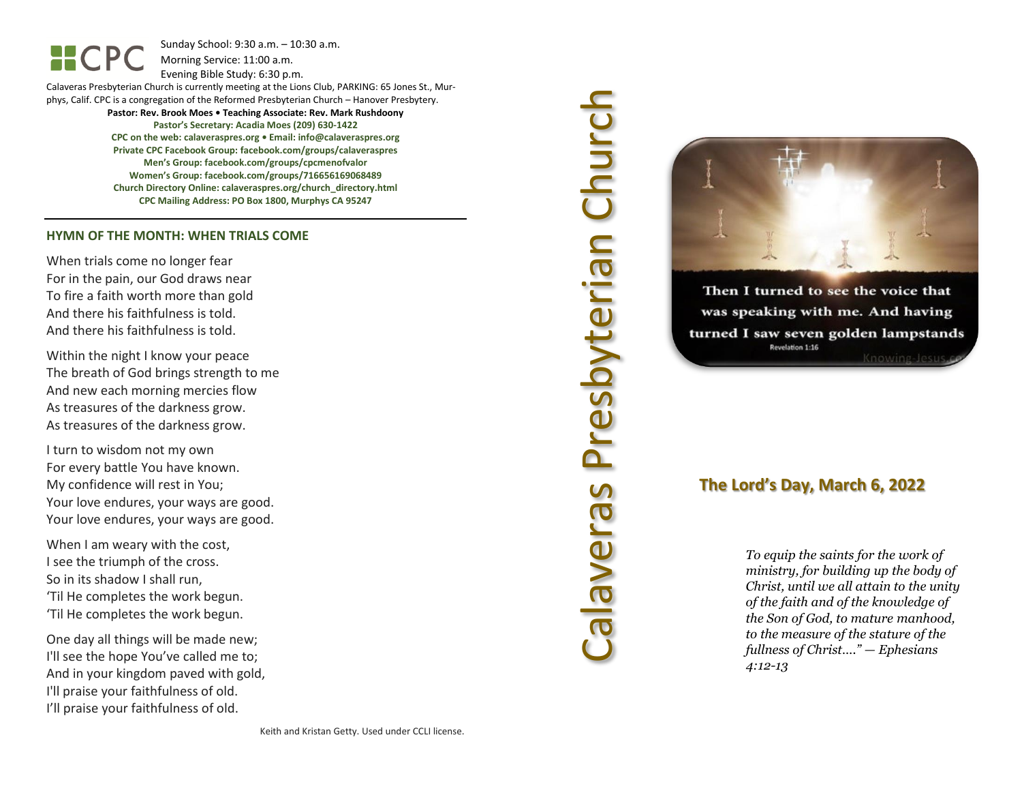Sunday School: 9: 3 0 a.m. – 10:30 a.m. Morning Service: 1 1 :00 a.m.

Evening Bible Study: 6: 30 p.m.

Calaveras Presbyterian Church is currently meeting at the Lions Club, PARKING: 65 Jones St., Murphys, Calif. CPC is a congregation of the Reformed Presbyterian Church – Hanover Presbytery.

> **Pastor: Rev. Brook Moes • Teaching Associate: Rev. Mark Rushdoony Pastor's Secretary: Acadia Moes (209) 630 -1422 CPC on the web: calaveraspres.org • Email: [info@calaveraspres.org](mailto:info@calaveraspres.org) Private CPC Facebook Group: facebook.com/groups/calaveraspres Men's Group: facebook.com/groups/cpcmenofvalor Women's Group: facebook.com/groups/716656169068489 Church Directory Online: calaveraspres.org/church \_directory.html CPC Mailing Address: PO Box 1800, Murphys CA 95247**

### **HYMN OF THE MONTH: WHEN TRIALS COME**

When trials come no longer fear For in the pain , our God draws nea r To fire a faith worth more than gol d And there his faithfulness is tol d . And there his faithfulness is told .

Within the night I know your peace The breath of God brings strength to m e And new each morning mercies flow As treasures of the darkness grow . As treasures of the darkness gro w .

I turn to wisdom not my ow n For every battle You have know n . My confidence will rest in You; Your love endures, your ways are good. Your love endures, your ways are good .

When I am weary with the cost, I see the triumph of the cross. So in its shadow I shall run, 'Til He completes the work begun. 'Til He complete s the work begun .

One day all things will be made ne w ; I'll see the hope You've called me to; And in your kingdom paved with gol d , I'll praise your faithfulness of ol d . I'll praise your faithfulness of old.

# Calaveras Presbyterian Church alaveras Presbyterian Churcl



Then I turned to see the voice that was speaking with me. And having turned I saw seven golden lampstands **Revelation 1:16** Knowing-Jesu

# **The Lord's Day, March 6, 202 2**

*To equip the saints for the work of ministry, for building up the body of Christ, until we all attain to the unity of the faith and of the knowledge of the Son of God, to mature manhood, to the measure of the stature of the fullness of Christ…." — Ephesians 4:12 -13*